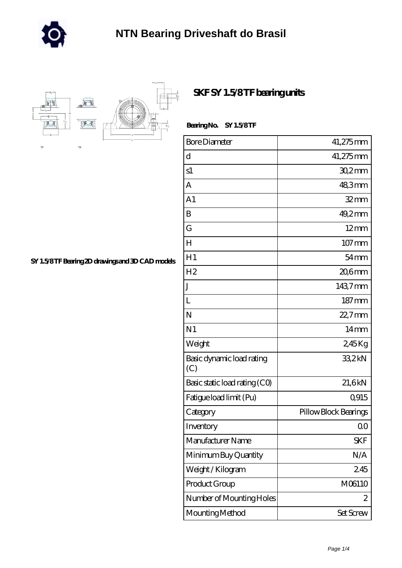



## **[SKF SY 1.5/8 TF bearing units](https://m.rotatezit.com/au-408989-skf-sy-1-5-8-tf-bearing-units.html)**

| Bearing No. SY 1.5/8TF |  |
|------------------------|--|
|------------------------|--|

| <b>Bore Diameter</b>             | 41,275mm              |
|----------------------------------|-----------------------|
| d                                | 41,275mm              |
| s1                               | $302$ mm              |
| A                                | 48,3mm                |
| A <sub>1</sub>                   | $32$ mm               |
| B                                | $49.2$ mm             |
| G                                | $12 \text{mm}$        |
| H                                | 107 mm                |
| H1                               | $54 \,\mathrm{mm}$    |
| H <sub>2</sub>                   | $206$ mm              |
| J                                | 1437mm                |
| L                                | $187 \,\mathrm{mm}$   |
| N                                | 22,7mm                |
| N <sub>1</sub>                   | 14mm                  |
| Weight                           | 245Kg                 |
| Basic dynamic load rating<br>(C) | 33,2kN                |
| Basic static load rating (CO)    | 21,6kN                |
| Fatigue load limit (Pu)          | Q915                  |
| Category                         | Pillow Block Bearings |
| Inventory                        | QO                    |
| Manufacturer Name                | <b>SKF</b>            |
| Minimum Buy Quantity             | N/A                   |
| Weight/Kilogram                  | 245                   |
| Product Group                    | M06110                |
| Number of Mounting Holes         | 2                     |
| Mounting Method                  | Set Screw             |

**[SY 1.5/8 TF Bearing 2D drawings and 3D CAD models](https://m.rotatezit.com/pic-408989.html)**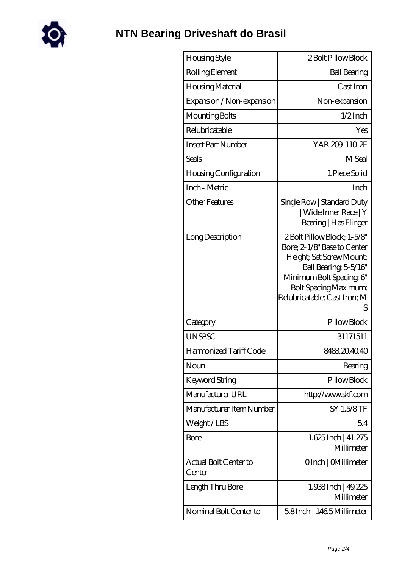

| Housing Style                   | 2 Bolt Pillow Block                                                                                                                                                                                      |
|---------------------------------|----------------------------------------------------------------------------------------------------------------------------------------------------------------------------------------------------------|
| Rolling Element                 | <b>Ball Bearing</b>                                                                                                                                                                                      |
| Housing Material                | Cast Iron                                                                                                                                                                                                |
| Expansion / Non-expansion       | Non-expansion                                                                                                                                                                                            |
| Mounting Bolts                  | $1/2$ Inch                                                                                                                                                                                               |
| Relubricatable                  | Yes                                                                                                                                                                                                      |
| <b>Insert Part Number</b>       | YAR 209-110-2F                                                                                                                                                                                           |
| Seals                           | M Seal                                                                                                                                                                                                   |
| Housing Configuration           | 1 Piece Solid                                                                                                                                                                                            |
| Inch - Metric                   | Inch                                                                                                                                                                                                     |
| <b>Other Features</b>           | Single Row   Standard Duty<br>  Wide Inner Race   Y<br>Bearing   Has Flinger                                                                                                                             |
| Long Description                | 2Bolt Pillow Block; 1-5/8"<br>Bore; 2-1/8" Base to Center<br>Height; Set Screw Mount;<br>Ball Bearing, 5-5/16"<br>Minimum Bolt Spacing, 6"<br>Bolt Spacing Maximum;<br>Relubricatable; Cast Iron; M<br>S |
| Category                        | Pillow Block                                                                                                                                                                                             |
| <b>UNSPSC</b>                   | 31171511                                                                                                                                                                                                 |
| Harmonized Tariff Code          | 8483204040                                                                                                                                                                                               |
| Noun                            | Bearing                                                                                                                                                                                                  |
| Keyword String                  | Pillow Block                                                                                                                                                                                             |
| Manufacturer URL                | http://www.skf.com                                                                                                                                                                                       |
| Manufacturer Item Number        | SY 1.5/8TF                                                                                                                                                                                               |
| Weight/LBS                      | 54                                                                                                                                                                                                       |
| Bore                            | 1.625 Inch   41.275<br>Millimeter                                                                                                                                                                        |
| Actual Bolt Center to<br>Center | OInch   CMillimeter                                                                                                                                                                                      |
| Length Thru Bore                | 1.938Inch   49.225<br>Millimeter                                                                                                                                                                         |
| Nominal Bolt Center to          | 58Inch   1465Millimeter                                                                                                                                                                                  |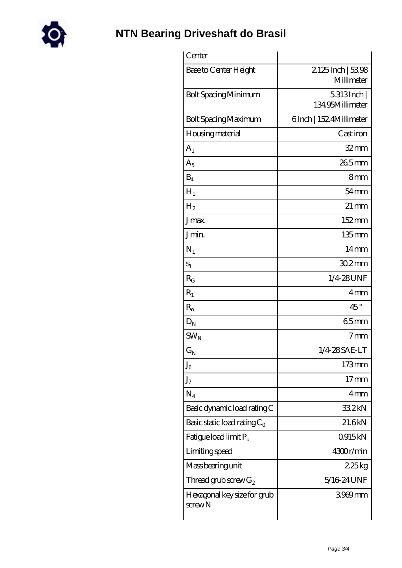

| Center                                      |                                 |
|---------------------------------------------|---------------------------------|
| Base to Center Height                       | 2125Inch   5398<br>Millimeter   |
| <b>Bolt Spacing Minimum</b>                 | $5313$ Inch<br>134.95Millimeter |
| <b>Bolt Spacing Maximum</b>                 | 6Inch   152 4Millimeter         |
| Housing material                            | Castiron                        |
| A <sub>1</sub>                              | $32 \text{mm}$                  |
| $A_5$                                       | $265$ mm                        |
| $B_4$                                       | 8mm                             |
| $H_1$                                       | $54$ mm                         |
| H <sub>2</sub>                              | $21 \,\mathrm{mm}$              |
| J <sub>max</sub>                            | 152mm                           |
| Jmin.                                       | 135mm                           |
| $N_1$                                       | 14 <sub>mm</sub>                |
| $S_1$                                       | $302$ mm                        |
| $R_G$                                       | 1/4 28 UNF                      |
| $R_1$                                       | 4mm                             |
| $\mathbf R$                                 | $45^{\circ}$                    |
| $D_N$                                       | 65mm                            |
| $SW_N$                                      | 7 <sub>mm</sub>                 |
| $G_N$                                       | 1/4 28 SAE-LT                   |
| $J_6$                                       | $173$ mm                        |
| J <sub>7</sub>                              | 17 <sub>mm</sub>                |
| $N_4$                                       | 4mm                             |
| Basic dynamic load rating C                 | 332kN                           |
| Basic static load rating $C_0$              | 21.6kN                          |
| Fatigue load limit $P_u$                    | 0915kN                          |
| Limiting speed                              | 4300r/min                       |
| Mass bearing unit                           | 225kg                           |
| Thread grub screw $G_2$                     | 5/16 24 UNF                     |
| Hexagonal key size for grub<br>$s$ crew $N$ | 3969mm                          |
|                                             |                                 |